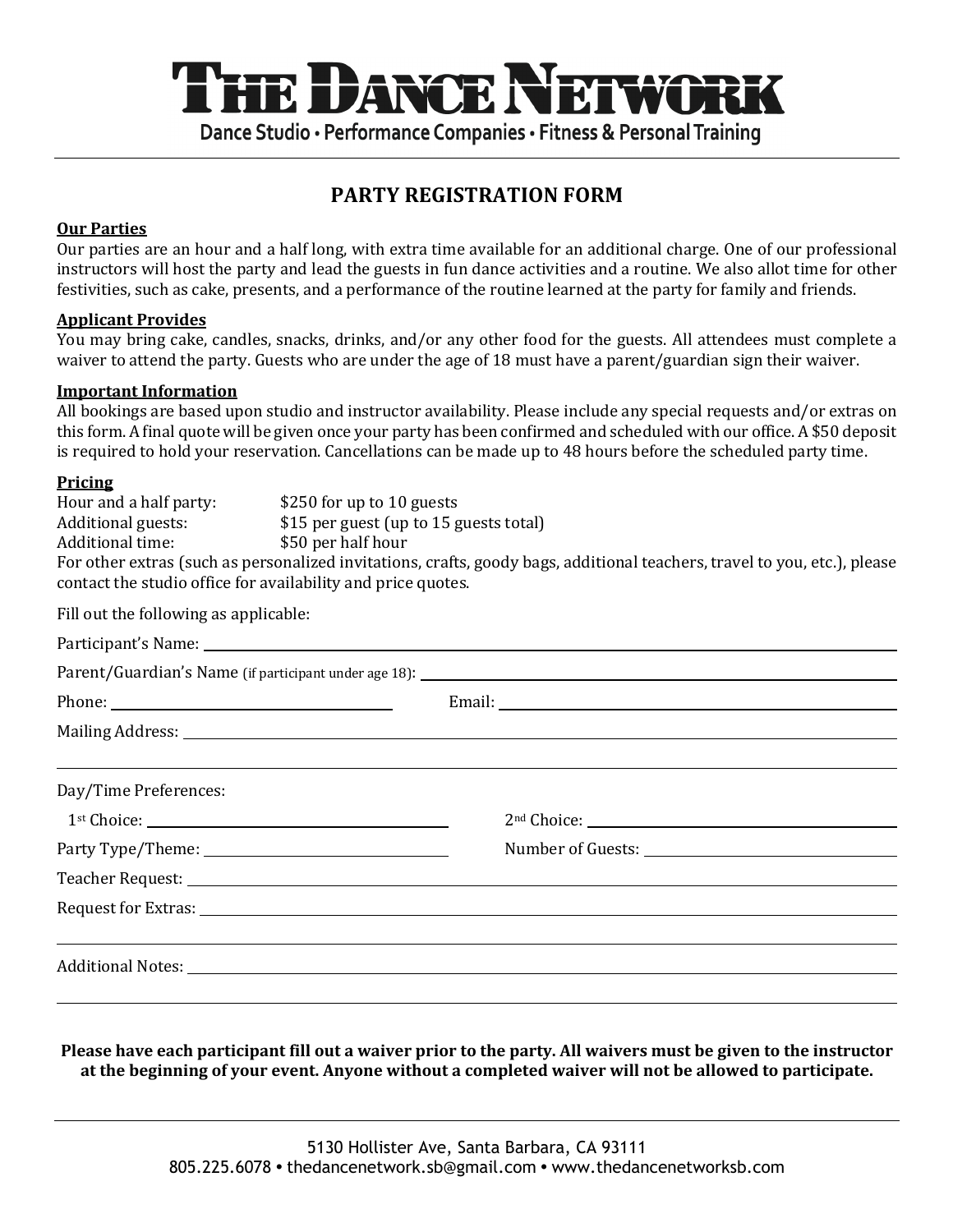# THE DANCE NEIWOR Dance Studio · Performance Companies · Fitness & Personal Training

## **PARTY REGISTRATION FORM**

## **Our Parties**

Our parties are an hour and a half long, with extra time available for an additional charge. One of our professional instructors will host the party and lead the guests in fun dance activities and a routine. We also allot time for other festivities, such as cake, presents, and a performance of the routine learned at the party for family and friends.

## **Applicant Provides**

You may bring cake, candles, snacks, drinks, and/or any other food for the guests. All attendees must complete a waiver to attend the party. Guests who are under the age of 18 must have a parent/guardian sign their waiver.

#### **Important Information**

All bookings are based upon studio and instructor availability. Please include any special requests and/or extras on this form. A final quote will be given once your party has been confirmed and scheduled with our office. A \$50 deposit is required to hold your reservation. Cancellations can be made up to 48 hours before the scheduled party time.

## **Pricing**

| Hour and a half party:                                                                                                    | \$250 for up to 10 guests              |  |  |  |
|---------------------------------------------------------------------------------------------------------------------------|----------------------------------------|--|--|--|
| Additional guests:                                                                                                        | \$15 per guest (up to 15 guests total) |  |  |  |
| Additional time:                                                                                                          | \$50 per half hour                     |  |  |  |
| For other extras (such as personalized invitations, crafts, goody bags, additional teachers, travel to you, etc.), please |                                        |  |  |  |
| contact the studio office for availability and price quotes.                                                              |                                        |  |  |  |

Fill out the following as applicable:

|                       | <u> 1999 - Andrea Barbara, Amerikaansk politik en beskriuwer om de grutte foar de ferskearre om de grutte foar de</u>                                                                                                          |  |
|-----------------------|--------------------------------------------------------------------------------------------------------------------------------------------------------------------------------------------------------------------------------|--|
| Day/Time Preferences: |                                                                                                                                                                                                                                |  |
|                       |                                                                                                                                                                                                                                |  |
|                       |                                                                                                                                                                                                                                |  |
|                       |                                                                                                                                                                                                                                |  |
|                       |                                                                                                                                                                                                                                |  |
|                       |                                                                                                                                                                                                                                |  |
|                       | Additional Notes: 1988 Contract to the Contract of the Contract of the Contract of the Contract of the Contract of the Contract of the Contract of the Contract of the Contract of the Contract of the Contract of the Contrac |  |
|                       |                                                                                                                                                                                                                                |  |
|                       |                                                                                                                                                                                                                                |  |

**Please have each participant fill out a waiver prior to the party. All waivers must be given to the instructor** at the beginning of your event. Anyone without a completed waiver will not be allowed to participate.